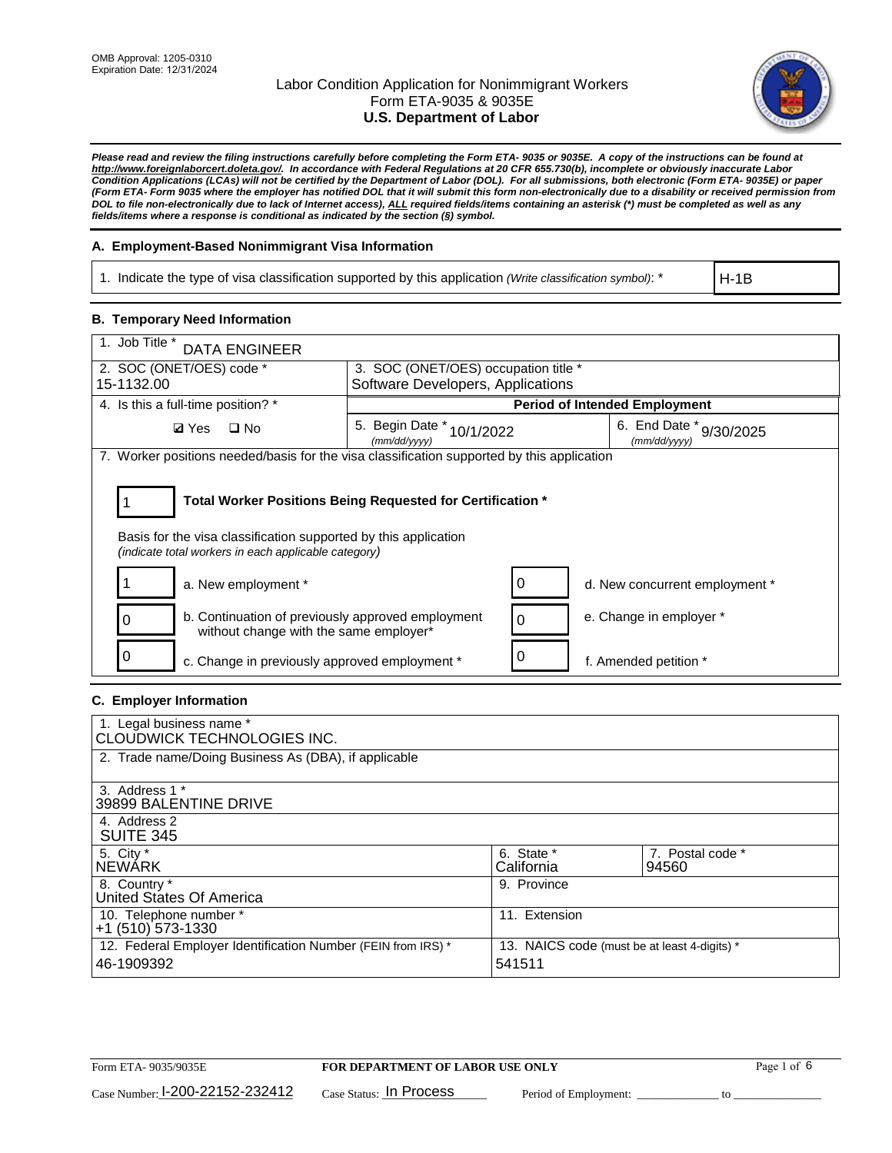

*Please read and review the filing instructions carefully before completing the Form ETA- 9035 or 9035E. A copy of the instructions can be found at [http://www.foreignlaborcert.doleta.gov/.](http://www.foreignlaborcert.doleta.gov/) In accordance with Federal Regulations at 20 CFR 655.730(b), incomplete or obviously inaccurate Labor Condition Applications (LCAs) will not be certified by the Department of Labor (DOL). For all submissions, both electronic (Form ETA- 9035E) or paper (Form ETA- Form 9035 where the employer has notified DOL that it will submit this form non-electronically due to a disability or received permission from DOL to file non-electronically due to lack of Internet access), ALL required fields/items containing an asterisk (\*) must be completed as well as any fields/items where a response is conditional as indicated by the section (§) symbol.* 

## **A. Employment-Based Nonimmigrant Visa Information**

1. Indicate the type of visa classification supported by this application *(Write classification symbol)*: \*

H-1B

### **B. Temporary Need Information**

| 1. Job Title * DATA ENGINEER                                                                                                                                                          |                                               |                                         |  |  |
|---------------------------------------------------------------------------------------------------------------------------------------------------------------------------------------|-----------------------------------------------|-----------------------------------------|--|--|
| 2. SOC (ONET/OES) code *                                                                                                                                                              | 3. SOC (ONET/OES) occupation title *          |                                         |  |  |
| 15-1132.00                                                                                                                                                                            | Software Developers, Applications             |                                         |  |  |
| 4. Is this a full-time position? *                                                                                                                                                    |                                               | <b>Period of Intended Employment</b>    |  |  |
| $\Box$ No<br><b>Ø</b> Yes                                                                                                                                                             | 5. Begin Date $*_{10/1/2022}$<br>(mm/dd/yyyy) | 6. End Date * 9/30/2025<br>(mm/dd/vvvv) |  |  |
| 7. Worker positions needed/basis for the visa classification supported by this application                                                                                            |                                               |                                         |  |  |
| Total Worker Positions Being Requested for Certification *<br>Basis for the visa classification supported by this application<br>(indicate total workers in each applicable category) |                                               |                                         |  |  |
| a. New employment *                                                                                                                                                                   | 0                                             | d. New concurrent employment *          |  |  |
| b. Continuation of previously approved employment<br>0<br>without change with the same employer*                                                                                      | $\mathbf 0$                                   | e. Change in employer *                 |  |  |
| c. Change in previously approved employment *                                                                                                                                         | 0                                             | f. Amended petition *                   |  |  |

## **C. Employer Information**

| 1. Legal business name *<br>CLOUDWICK TECHNOLOGIES INC.                    |                                                        |                           |
|----------------------------------------------------------------------------|--------------------------------------------------------|---------------------------|
| 2. Trade name/Doing Business As (DBA), if applicable                       |                                                        |                           |
| 3. Address 1 *<br>39899 BALENTINE DRIVE                                    |                                                        |                           |
| 4. Address 2<br><b>SUITE 345</b>                                           |                                                        |                           |
| 5. City *<br><b>NEWARK</b>                                                 | 6. State *<br>California                               | 7. Postal code *<br>94560 |
| 8. Country *<br>United States Of America                                   | 9. Province                                            |                           |
| 10. Telephone number *<br>$+1$ (510) 573-1330                              | 11. Extension                                          |                           |
| 12. Federal Employer Identification Number (FEIN from IRS) *<br>46-1909392 | 13. NAICS code (must be at least 4-digits) *<br>541511 |                           |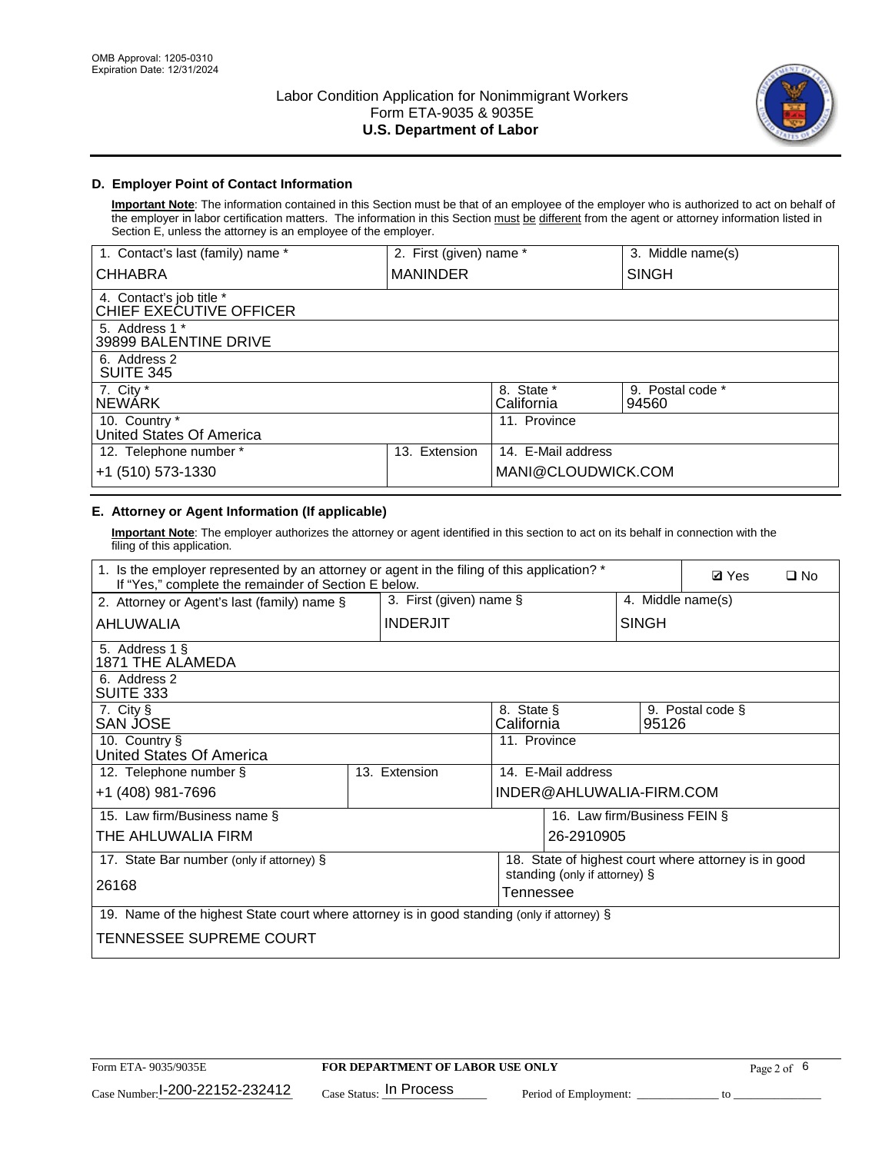

# **D. Employer Point of Contact Information**

**Important Note**: The information contained in this Section must be that of an employee of the employer who is authorized to act on behalf of the employer in labor certification matters. The information in this Section must be different from the agent or attorney information listed in Section E, unless the attorney is an employee of the employer.

| 1. Contact's last (family) name *                   | 2. First (given) name * |                          | 3. Middle name(s)         |
|-----------------------------------------------------|-------------------------|--------------------------|---------------------------|
| <b>CHHABRA</b>                                      | <b>MANINDER</b>         |                          | <b>SINGH</b>              |
| 4. Contact's job title *<br>CHIEF EXECUTIVE OFFICER |                         |                          |                           |
| 5. Address 1 *<br>39899 BALENTINE DRIVE             |                         |                          |                           |
| 6. Address 2<br><b>SUITE 345</b>                    |                         |                          |                           |
| 7. City *<br><b>NEWÁRK</b>                          |                         | 8. State *<br>California | 9. Postal code *<br>94560 |
| 10. Country *<br>United States Of America           |                         | 11. Province             |                           |
| 12. Telephone number *                              | Extension<br>13.        | 14. E-Mail address       |                           |
| +1 (510) 573-1330                                   |                         | MANI@CLOUDWICK.COM       |                           |

# **E. Attorney or Agent Information (If applicable)**

**Important Note**: The employer authorizes the attorney or agent identified in this section to act on its behalf in connection with the filing of this application.

| 1. Is the employer represented by an attorney or agent in the filing of this application? *<br>If "Yes," complete the remainder of Section E below. | <b>Ø</b> Yes<br>$\square$ No    |                          |                              |                                                      |  |
|-----------------------------------------------------------------------------------------------------------------------------------------------------|---------------------------------|--------------------------|------------------------------|------------------------------------------------------|--|
| 3. First (given) name §<br>2. Attorney or Agent's last (family) name §                                                                              |                                 |                          | 4. Middle name(s)            |                                                      |  |
| AHLUWALIA                                                                                                                                           | <b>INDERJIT</b><br><b>SINGH</b> |                          |                              |                                                      |  |
| 5. Address 1 §<br>1871 THE ALAMEDA                                                                                                                  |                                 |                          |                              |                                                      |  |
| 6. Address 2<br><b>SUITE 333</b>                                                                                                                    |                                 |                          |                              |                                                      |  |
| 7. City §<br><b>SAN JOSE</b>                                                                                                                        |                                 | 8. State §<br>California |                              | 9. Postal code §<br>95126                            |  |
| 10. Country §<br>United States Of America                                                                                                           |                                 | 11. Province             |                              |                                                      |  |
| 12. Telephone number §                                                                                                                              | 13. Extension                   | 14. E-Mail address       |                              |                                                      |  |
| +1 (408) 981-7696                                                                                                                                   |                                 |                          | INDER@AHLUWALIA-FIRM.COM     |                                                      |  |
| 15. Law firm/Business name §                                                                                                                        |                                 |                          | 16. Law firm/Business FEIN § |                                                      |  |
| THE AHLUWALIA FIRM                                                                                                                                  |                                 |                          | 26-2910905                   |                                                      |  |
| 17. State Bar number (only if attorney) §                                                                                                           |                                 |                          |                              | 18. State of highest court where attorney is in good |  |
| standing (only if attorney) §<br>26168<br>Tennessee                                                                                                 |                                 |                          |                              |                                                      |  |
| 19. Name of the highest State court where attorney is in good standing (only if attorney) §                                                         |                                 |                          |                              |                                                      |  |
| TENNESSEE SUPREME COURT                                                                                                                             |                                 |                          |                              |                                                      |  |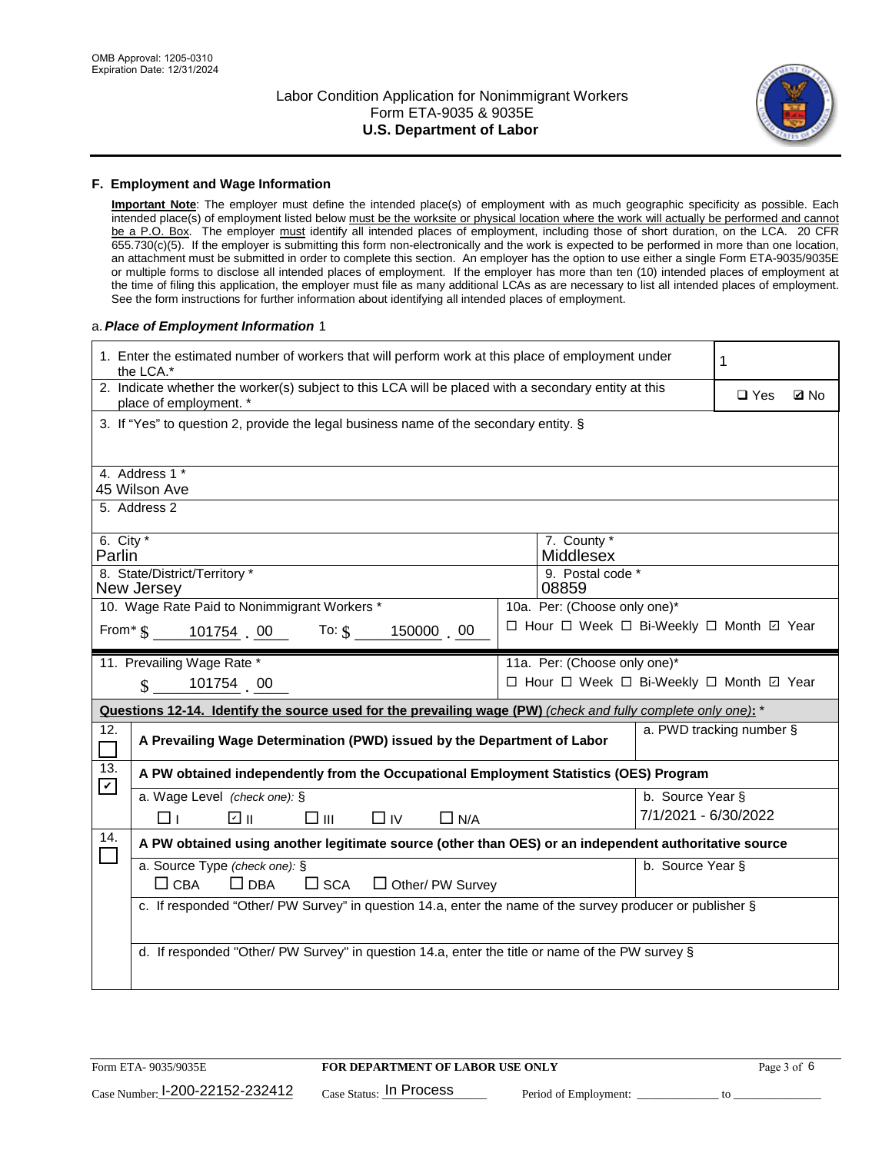

### **F. Employment and Wage Information**

**Important Note**: The employer must define the intended place(s) of employment with as much geographic specificity as possible. Each intended place(s) of employment listed below must be the worksite or physical location where the work will actually be performed and cannot be a P.O. Box. The employer must identify all intended places of employment, including those of short duration, on the LCA. 20 CFR 655.730(c)(5). If the employer is submitting this form non-electronically and the work is expected to be performed in more than one location, an attachment must be submitted in order to complete this section. An employer has the option to use either a single Form ETA-9035/9035E or multiple forms to disclose all intended places of employment. If the employer has more than ten (10) intended places of employment at the time of filing this application, the employer must file as many additional LCAs as are necessary to list all intended places of employment. See the form instructions for further information about identifying all intended places of employment.

### a.*Place of Employment Information* 1

| 1. Enter the estimated number of workers that will perform work at this place of employment under<br>the LCA.*                 |                                                                                                                           |  |                                          |                      | 1                        |             |  |
|--------------------------------------------------------------------------------------------------------------------------------|---------------------------------------------------------------------------------------------------------------------------|--|------------------------------------------|----------------------|--------------------------|-------------|--|
| 2. Indicate whether the worker(s) subject to this LCA will be placed with a secondary entity at this<br>place of employment. * |                                                                                                                           |  |                                          |                      | $\Box$ Yes               | <b>Z</b> No |  |
|                                                                                                                                | 3. If "Yes" to question 2, provide the legal business name of the secondary entity. §                                     |  |                                          |                      |                          |             |  |
|                                                                                                                                | 4. Address 1 *<br>45 Wilson Ave                                                                                           |  |                                          |                      |                          |             |  |
|                                                                                                                                | 5. Address 2                                                                                                              |  |                                          |                      |                          |             |  |
| 6. City $*$<br>Parlin                                                                                                          |                                                                                                                           |  | 7. County *<br>Middlesex                 |                      |                          |             |  |
|                                                                                                                                | 8. State/District/Territory *<br>New Jersey                                                                               |  | 9. Postal code *<br>08859                |                      |                          |             |  |
|                                                                                                                                | 10. Wage Rate Paid to Nonimmigrant Workers *                                                                              |  | 10a. Per: (Choose only one)*             |                      |                          |             |  |
|                                                                                                                                | □ Hour □ Week □ Bi-Weekly □ Month ☑ Year<br>From $\frac{1}{5}$ 101754 00 To: $\frac{1}{5}$ 150000 00                      |  |                                          |                      |                          |             |  |
|                                                                                                                                | 11. Prevailing Wage Rate *                                                                                                |  | 11a. Per: (Choose only one)*             |                      |                          |             |  |
|                                                                                                                                | 101754 00<br>$\mathbf S$                                                                                                  |  | □ Hour □ Week □ Bi-Weekly □ Month ☑ Year |                      |                          |             |  |
|                                                                                                                                | Questions 12-14. Identify the source used for the prevailing wage (PW) (check and fully complete only one): *             |  |                                          |                      |                          |             |  |
| 12.<br>$\Box$                                                                                                                  | A Prevailing Wage Determination (PWD) issued by the Department of Labor                                                   |  |                                          |                      | a. PWD tracking number § |             |  |
| 13.<br>$\boldsymbol{\mathcal{V}}$                                                                                              | A PW obtained independently from the Occupational Employment Statistics (OES) Program                                     |  |                                          |                      |                          |             |  |
|                                                                                                                                | a. Wage Level (check one): §                                                                                              |  |                                          | b. Source Year §     |                          |             |  |
|                                                                                                                                | ☑ ⊪<br>$\square$ $\square$<br>$\Box$ IV<br>$\Box$ N/A<br>□⊥                                                               |  |                                          | 7/1/2021 - 6/30/2022 |                          |             |  |
| 14.                                                                                                                            | A PW obtained using another legitimate source (other than OES) or an independent authoritative source                     |  |                                          |                      |                          |             |  |
|                                                                                                                                | a. Source Type (check one): §<br>b. Source Year §<br>$\Box$ CBA<br>$\Box$ DBA<br>$\square$ SCA<br>$\Box$ Other/ PW Survey |  |                                          |                      |                          |             |  |
|                                                                                                                                | c. If responded "Other/ PW Survey" in question 14.a, enter the name of the survey producer or publisher §                 |  |                                          |                      |                          |             |  |
|                                                                                                                                | d. If responded "Other/ PW Survey" in question 14.a, enter the title or name of the PW survey §                           |  |                                          |                      |                          |             |  |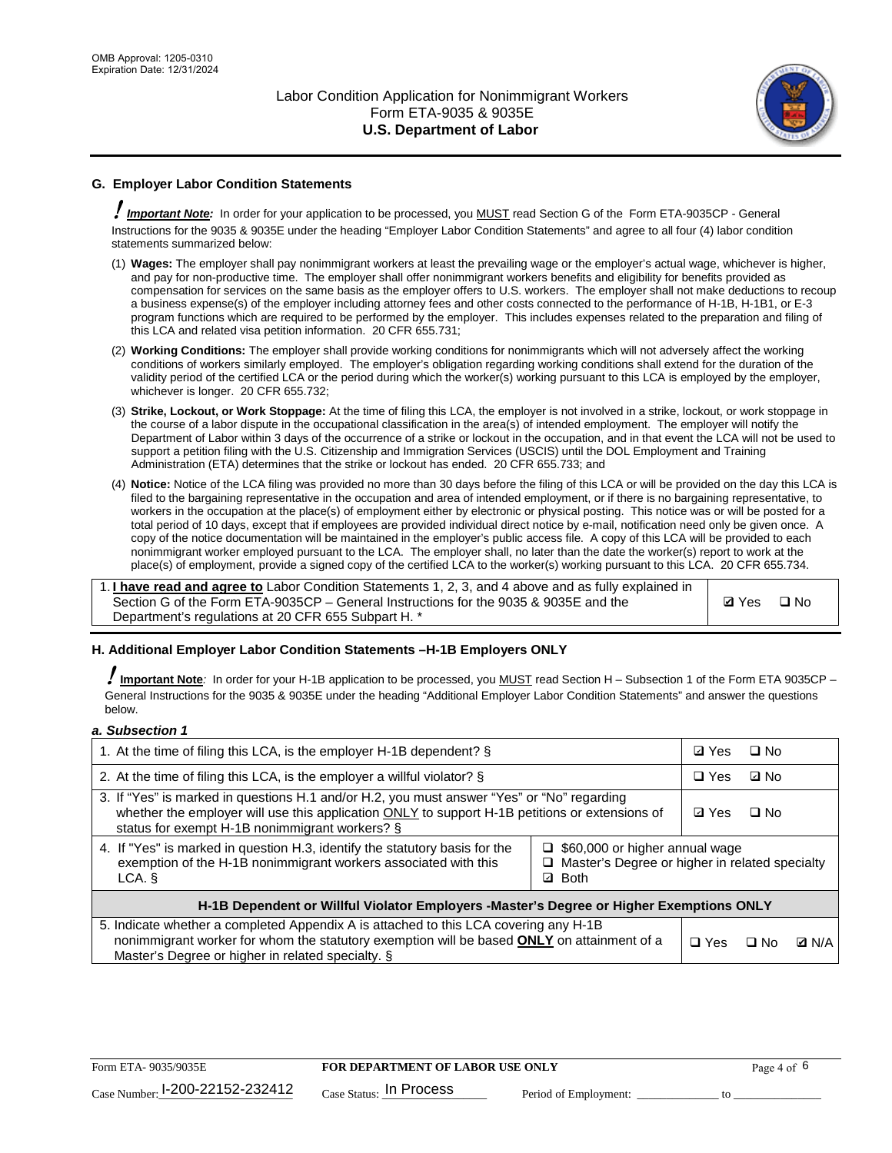

# **G. Employer Labor Condition Statements**

! *Important Note:* In order for your application to be processed, you MUST read Section G of the Form ETA-9035CP - General Instructions for the 9035 & 9035E under the heading "Employer Labor Condition Statements" and agree to all four (4) labor condition statements summarized below:

- (1) **Wages:** The employer shall pay nonimmigrant workers at least the prevailing wage or the employer's actual wage, whichever is higher, and pay for non-productive time. The employer shall offer nonimmigrant workers benefits and eligibility for benefits provided as compensation for services on the same basis as the employer offers to U.S. workers. The employer shall not make deductions to recoup a business expense(s) of the employer including attorney fees and other costs connected to the performance of H-1B, H-1B1, or E-3 program functions which are required to be performed by the employer. This includes expenses related to the preparation and filing of this LCA and related visa petition information. 20 CFR 655.731;
- (2) **Working Conditions:** The employer shall provide working conditions for nonimmigrants which will not adversely affect the working conditions of workers similarly employed. The employer's obligation regarding working conditions shall extend for the duration of the validity period of the certified LCA or the period during which the worker(s) working pursuant to this LCA is employed by the employer, whichever is longer. 20 CFR 655.732;
- (3) **Strike, Lockout, or Work Stoppage:** At the time of filing this LCA, the employer is not involved in a strike, lockout, or work stoppage in the course of a labor dispute in the occupational classification in the area(s) of intended employment. The employer will notify the Department of Labor within 3 days of the occurrence of a strike or lockout in the occupation, and in that event the LCA will not be used to support a petition filing with the U.S. Citizenship and Immigration Services (USCIS) until the DOL Employment and Training Administration (ETA) determines that the strike or lockout has ended. 20 CFR 655.733; and
- (4) **Notice:** Notice of the LCA filing was provided no more than 30 days before the filing of this LCA or will be provided on the day this LCA is filed to the bargaining representative in the occupation and area of intended employment, or if there is no bargaining representative, to workers in the occupation at the place(s) of employment either by electronic or physical posting. This notice was or will be posted for a total period of 10 days, except that if employees are provided individual direct notice by e-mail, notification need only be given once. A copy of the notice documentation will be maintained in the employer's public access file. A copy of this LCA will be provided to each nonimmigrant worker employed pursuant to the LCA. The employer shall, no later than the date the worker(s) report to work at the place(s) of employment, provide a signed copy of the certified LCA to the worker(s) working pursuant to this LCA. 20 CFR 655.734.

1. **I have read and agree to** Labor Condition Statements 1, 2, 3, and 4 above and as fully explained in Section G of the Form ETA-9035CP – General Instructions for the 9035 & 9035E and the Department's regulations at 20 CFR 655 Subpart H. \*

**Ø**Yes ロNo

## **H. Additional Employer Labor Condition Statements –H-1B Employers ONLY**

!**Important Note***:* In order for your H-1B application to be processed, you MUST read Section H – Subsection 1 of the Form ETA 9035CP – General Instructions for the 9035 & 9035E under the heading "Additional Employer Labor Condition Statements" and answer the questions below.

### *a. Subsection 1*

| 1. At the time of filing this LCA, is the employer H-1B dependent? §                                                                                                                                                                                                  |  |            | $\Box$ No |              |
|-----------------------------------------------------------------------------------------------------------------------------------------------------------------------------------------------------------------------------------------------------------------------|--|------------|-----------|--------------|
| 2. At the time of filing this LCA, is the employer a willful violator? $\S$                                                                                                                                                                                           |  |            | ⊡ No      |              |
| 3. If "Yes" is marked in questions H.1 and/or H.2, you must answer "Yes" or "No" regarding<br>whether the employer will use this application ONLY to support H-1B petitions or extensions of<br>status for exempt H-1B nonimmigrant workers? §                        |  |            | $\Box$ No |              |
| 4. If "Yes" is marked in question H.3, identify the statutory basis for the<br>$\Box$ \$60,000 or higher annual wage<br>exemption of the H-1B nonimmigrant workers associated with this<br>Master's Degree or higher in related specialty<br><b>Both</b><br>LCA.<br>☑ |  |            |           |              |
| H-1B Dependent or Willful Violator Employers -Master's Degree or Higher Exemptions ONLY                                                                                                                                                                               |  |            |           |              |
| 5. Indicate whether a completed Appendix A is attached to this LCA covering any H-1B<br>nonimmigrant worker for whom the statutory exemption will be based <b>ONLY</b> on attainment of a<br>Master's Degree or higher in related specialty. §                        |  | $\Box$ Yes | ⊡ No      | <b>D</b> N/A |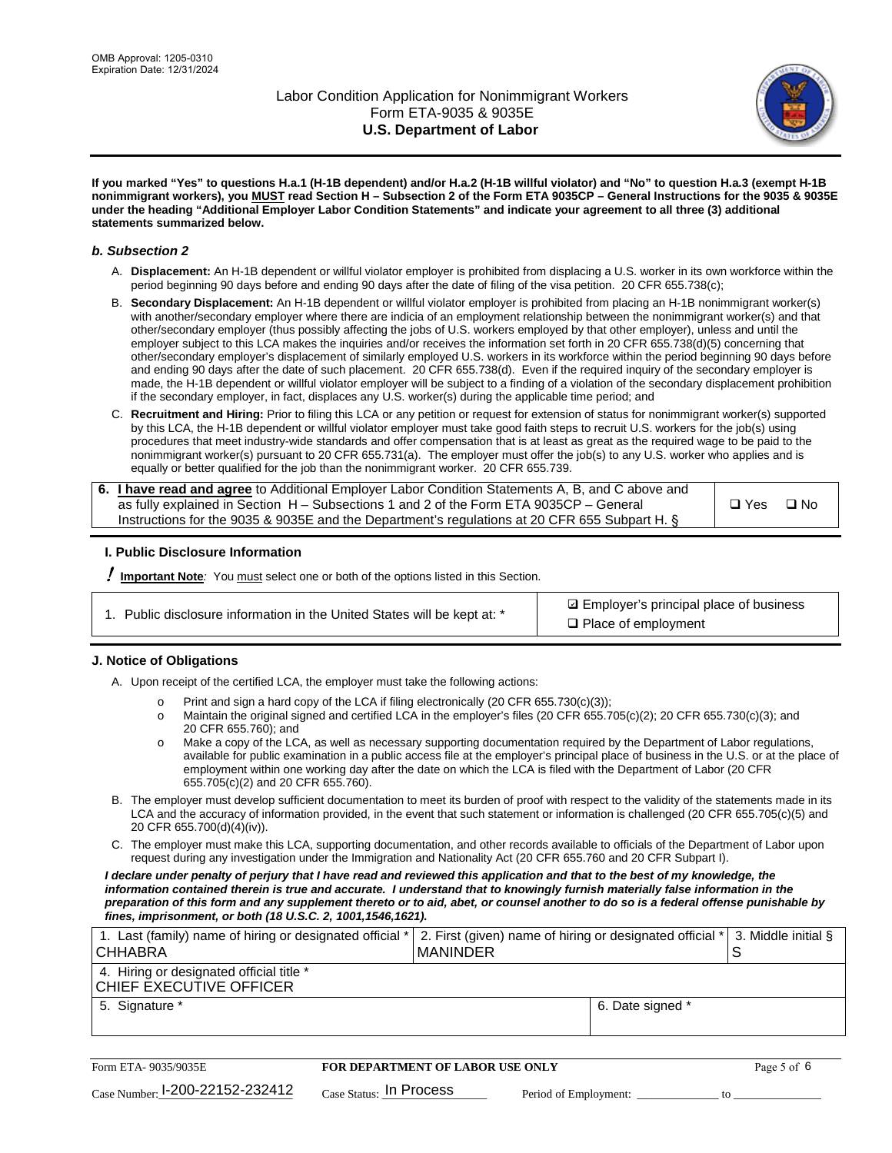

**If you marked "Yes" to questions H.a.1 (H-1B dependent) and/or H.a.2 (H-1B willful violator) and "No" to question H.a.3 (exempt H-1B nonimmigrant workers), you MUST read Section H – Subsection 2 of the Form ETA 9035CP – General Instructions for the 9035 & 9035E under the heading "Additional Employer Labor Condition Statements" and indicate your agreement to all three (3) additional statements summarized below.**

### *b. Subsection 2*

- A. **Displacement:** An H-1B dependent or willful violator employer is prohibited from displacing a U.S. worker in its own workforce within the period beginning 90 days before and ending 90 days after the date of filing of the visa petition. 20 CFR 655.738(c);
- B. **Secondary Displacement:** An H-1B dependent or willful violator employer is prohibited from placing an H-1B nonimmigrant worker(s) with another/secondary employer where there are indicia of an employment relationship between the nonimmigrant worker(s) and that other/secondary employer (thus possibly affecting the jobs of U.S. workers employed by that other employer), unless and until the employer subject to this LCA makes the inquiries and/or receives the information set forth in 20 CFR 655.738(d)(5) concerning that other/secondary employer's displacement of similarly employed U.S. workers in its workforce within the period beginning 90 days before and ending 90 days after the date of such placement. 20 CFR 655.738(d). Even if the required inquiry of the secondary employer is made, the H-1B dependent or willful violator employer will be subject to a finding of a violation of the secondary displacement prohibition if the secondary employer, in fact, displaces any U.S. worker(s) during the applicable time period; and
- C. **Recruitment and Hiring:** Prior to filing this LCA or any petition or request for extension of status for nonimmigrant worker(s) supported by this LCA, the H-1B dependent or willful violator employer must take good faith steps to recruit U.S. workers for the job(s) using procedures that meet industry-wide standards and offer compensation that is at least as great as the required wage to be paid to the nonimmigrant worker(s) pursuant to 20 CFR 655.731(a). The employer must offer the job(s) to any U.S. worker who applies and is equally or better qualified for the job than the nonimmigrant worker. 20 CFR 655.739.

| 6. I have read and agree to Additional Employer Labor Condition Statements A, B, and C above and |       |           |
|--------------------------------------------------------------------------------------------------|-------|-----------|
| as fully explained in Section H – Subsections 1 and 2 of the Form ETA 9035CP – General           | □ Yes | $\Box$ No |
| Instructions for the 9035 & 9035E and the Department's regulations at 20 CFR 655 Subpart H. §    |       |           |

## **I. Public Disclosure Information**

! **Important Note***:* You must select one or both of the options listed in this Section.

| 1. Public disclosure information in the United States will be kept at: * |
|--------------------------------------------------------------------------|
|--------------------------------------------------------------------------|

**sqrt** Employer's principal place of business □ Place of employment

## **J. Notice of Obligations**

A. Upon receipt of the certified LCA, the employer must take the following actions:

- o Print and sign a hard copy of the LCA if filing electronically (20 CFR 655.730(c)(3));<br>
Maintain the original signed and certified LCA in the employer's files (20 CFR 655.7
- Maintain the original signed and certified LCA in the employer's files (20 CFR 655.705(c)(2); 20 CFR 655.730(c)(3); and 20 CFR 655.760); and
- o Make a copy of the LCA, as well as necessary supporting documentation required by the Department of Labor regulations, available for public examination in a public access file at the employer's principal place of business in the U.S. or at the place of employment within one working day after the date on which the LCA is filed with the Department of Labor (20 CFR 655.705(c)(2) and 20 CFR 655.760).
- B. The employer must develop sufficient documentation to meet its burden of proof with respect to the validity of the statements made in its LCA and the accuracy of information provided, in the event that such statement or information is challenged (20 CFR 655.705(c)(5) and 20 CFR 655.700(d)(4)(iv)).
- C. The employer must make this LCA, supporting documentation, and other records available to officials of the Department of Labor upon request during any investigation under the Immigration and Nationality Act (20 CFR 655.760 and 20 CFR Subpart I).

*I declare under penalty of perjury that I have read and reviewed this application and that to the best of my knowledge, the*  information contained therein is true and accurate. I understand that to knowingly furnish materially false information in the *preparation of this form and any supplement thereto or to aid, abet, or counsel another to do so is a federal offense punishable by fines, imprisonment, or both (18 U.S.C. 2, 1001,1546,1621).*

| 1. Last (family) name of hiring or designated official * 2. First (given) name of hiring or designated official * 3. Middle initial §<br>I CHHABRA | I MANINDER       |  |
|----------------------------------------------------------------------------------------------------------------------------------------------------|------------------|--|
| 4. Hiring or designated official title *<br>CHIEF EXECUTIVE OFFICER                                                                                |                  |  |
| 5. Signature *                                                                                                                                     | 6. Date signed * |  |